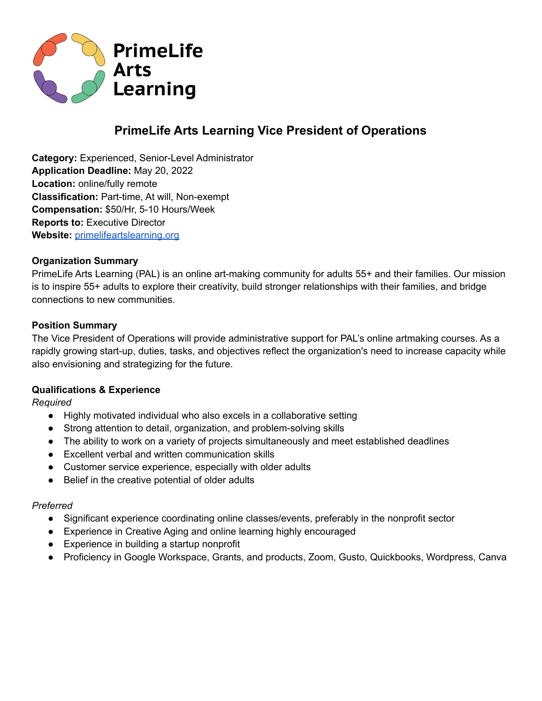

# **PrimeLife Arts Learning Vice President of Operations**

**Category:** Experienced, Senior-Level Administrator **Application Deadline:** May 20, 2022 **Location:** online/fully remote **Classification:** Part-time, At will, Non-exempt **Compensation:** \$50/Hr, 5-10 Hours/Week **Reports to:** Executive Director **Website:** [primelifeartslearning.org](https://primelifeartslearning.org/)

## **Organization Summary**

PrimeLife Arts Learning (PAL) is an online art-making community for adults 55+ and their families. Our mission is to inspire 55+ adults to explore their creativity, build stronger relationships with their families, and bridge connections to new communities.

## **Position Summary**

The Vice President of Operations will provide administrative support for PAL's online artmaking courses. As a rapidly growing start-up, duties, tasks, and objectives reflect the organization's need to increase capacity while also envisioning and strategizing for the future.

#### **Qualifications & Experience**

*Required*

- Highly motivated individual who also excels in a collaborative setting
- Strong attention to detail, organization, and problem-solving skills
- The ability to work on a variety of projects simultaneously and meet established deadlines
- Excellent verbal and written communication skills
- Customer service experience, especially with older adults
- Belief in the creative potential of older adults

#### *Preferred*

- Significant experience coordinating online classes/events, preferably in the nonprofit sector
- Experience in Creative Aging and online learning highly encouraged
- Experience in building a startup nonprofit
- Proficiency in Google Workspace, Grants, and products, Zoom, Gusto, Quickbooks, Wordpress, Canva